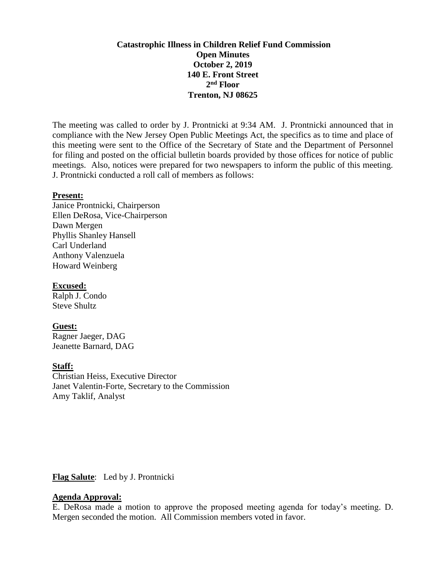# **Catastrophic Illness in Children Relief Fund Commission Open Minutes October 2, 2019 140 E. Front Street 2 nd Floor Trenton, NJ 08625**

The meeting was called to order by J. Prontnicki at 9:34 AM. J. Prontnicki announced that in compliance with the New Jersey Open Public Meetings Act, the specifics as to time and place of this meeting were sent to the Office of the Secretary of State and the Department of Personnel for filing and posted on the official bulletin boards provided by those offices for notice of public meetings. Also, notices were prepared for two newspapers to inform the public of this meeting. J. Prontnicki conducted a roll call of members as follows:

#### **Present:**

Janice Prontnicki, Chairperson Ellen DeRosa, Vice-Chairperson Dawn Mergen Phyllis Shanley Hansell Carl Underland Anthony Valenzuela Howard Weinberg

## **Excused:**

Ralph J. Condo Steve Shultz

### **Guest:**

Ragner Jaeger, DAG Jeanette Barnard, DAG

### **Staff:**

Christian Heiss, Executive Director Janet Valentin-Forte, Secretary to the Commission Amy Taklif, Analyst

# **Flag Salute**: Led by J. Prontnicki

# **Agenda Approval:**

E. DeRosa made a motion to approve the proposed meeting agenda for today's meeting. D. Mergen seconded the motion. All Commission members voted in favor.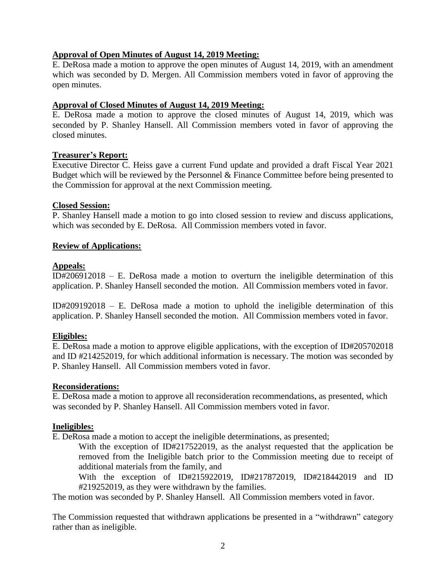# **Approval of Open Minutes of August 14, 2019 Meeting:**

E. DeRosa made a motion to approve the open minutes of August 14, 2019, with an amendment which was seconded by D. Mergen. All Commission members voted in favor of approving the open minutes.

### **Approval of Closed Minutes of August 14, 2019 Meeting:**

E. DeRosa made a motion to approve the closed minutes of August 14, 2019, which was seconded by P. Shanley Hansell. All Commission members voted in favor of approving the closed minutes.

# **Treasurer's Report:**

Executive Director C. Heiss gave a current Fund update and provided a draft Fiscal Year 2021 Budget which will be reviewed by the Personnel & Finance Committee before being presented to the Commission for approval at the next Commission meeting.

# **Closed Session:**

P. Shanley Hansell made a motion to go into closed session to review and discuss applications, which was seconded by E. DeRosa. All Commission members voted in favor.

# **Review of Applications:**

# **Appeals:**

ID#206912018 – E. DeRosa made a motion to overturn the ineligible determination of this application. P. Shanley Hansell seconded the motion. All Commission members voted in favor.

ID#209192018 – E. DeRosa made a motion to uphold the ineligible determination of this application. P. Shanley Hansell seconded the motion. All Commission members voted in favor.

# **Eligibles:**

E. DeRosa made a motion to approve eligible applications, with the exception of ID#205702018 and ID #214252019, for which additional information is necessary. The motion was seconded by P. Shanley Hansell. All Commission members voted in favor.

### **Reconsiderations:**

E. DeRosa made a motion to approve all reconsideration recommendations, as presented, which was seconded by P. Shanley Hansell. All Commission members voted in favor.

### **Ineligibles:**

E. DeRosa made a motion to accept the ineligible determinations, as presented;

With the exception of ID#217522019, as the analyst requested that the application be removed from the Ineligible batch prior to the Commission meeting due to receipt of additional materials from the family, and

With the exception of ID#215922019, ID#217872019, ID#218442019 and ID #219252019, as they were withdrawn by the families.

The motion was seconded by P. Shanley Hansell. All Commission members voted in favor.

The Commission requested that withdrawn applications be presented in a "withdrawn" category rather than as ineligible.